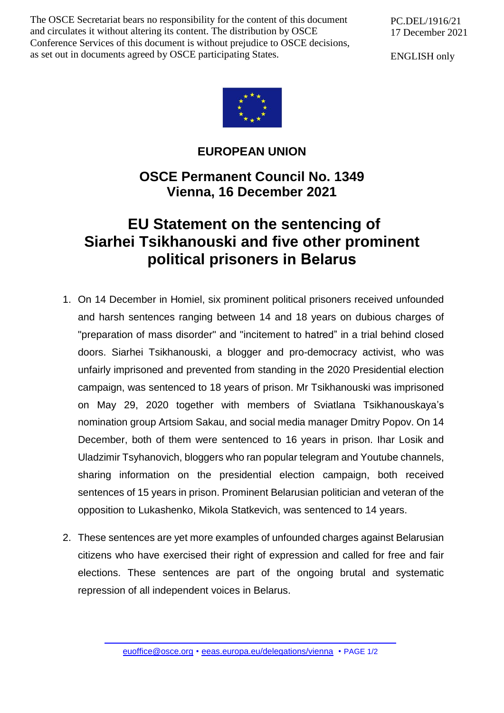The OSCE Secretariat bears no responsibility for the content of this document and circulates it without altering its content. The distribution by OSCE Conference Services of this document is without prejudice to OSCE decisions, as set out in documents agreed by OSCE participating States.

PC.DEL/1916/21 17 December 2021

ENGLISH only



## **EUROPEAN UNION**

## **OSCE Permanent Council No. 1349 Vienna, 16 December 2021**

## **EU Statement on the sentencing of Siarhei Tsikhanouski and five other prominent political prisoners in Belarus**

- 1. On 14 December in Homiel, six prominent political prisoners received unfounded and harsh sentences ranging between 14 and 18 years on dubious charges of "preparation of mass disorder" and "incitement to hatred" in a trial behind closed doors. Siarhei Tsikhanouski, a blogger and pro-democracy activist, who was unfairly imprisoned and prevented from standing in the 2020 Presidential election campaign, was sentenced to 18 years of prison. Mr Tsikhanouski was imprisoned on May 29, 2020 together with members of Sviatlana Tsikhanouskaya's nomination group Artsiom Sakau, and social media manager Dmitry Popov. On 14 December, both of them were sentenced to 16 years in prison. Ihar Losik and Uladzimir Tsyhanovich, bloggers who ran popular telegram and Youtube channels, sharing information on the presidential election campaign, both received sentences of 15 years in prison. Prominent Belarusian politician and veteran of the opposition to Lukashenko, Mikola Statkevich, was sentenced to 14 years.
- 2. These sentences are yet more examples of unfounded charges against Belarusian citizens who have exercised their right of expression and called for free and fair elections. These sentences are part of the ongoing brutal and systematic repression of all independent voices in Belarus.

[euoffice@osce.org](mailto:euoffice@osce.org) • [eeas.europa.eu/delegations/vienna](http://eeas.europa.eu/delegations/vienna) • PAGE 1/2